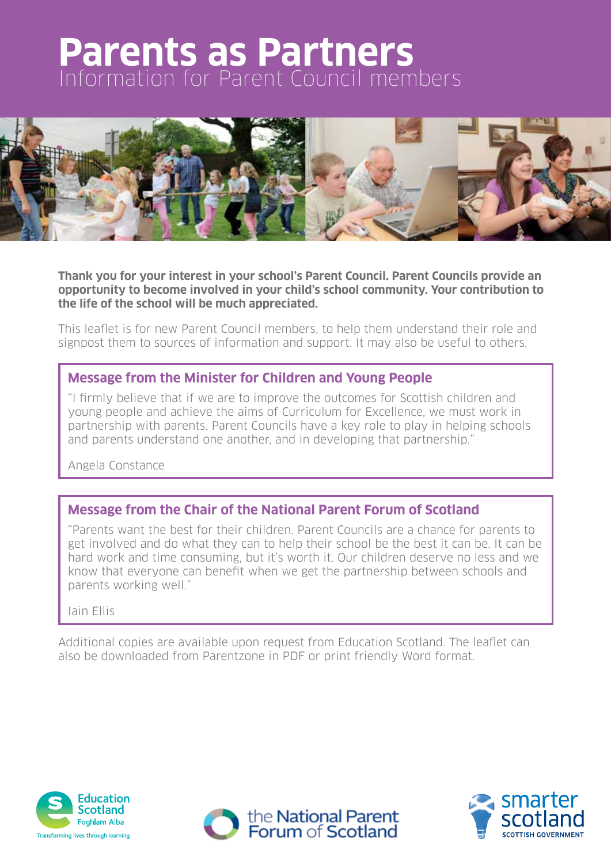# **Parents as Partners** Information for Parent Council members



**Thank you for your interest in your school's Parent Council. Parent Councils provide an opportunity to become involved in your child's school community. Your contribution to the life of the school will be much appreciated.**

This leaflet is for new Parent Council members, to help them understand their role and signpost them to sources of information and support. It may also be useful to others.

#### **Message from the Minister for Children and Young People**

"I firmly believe that if we are to improve the outcomes for Scottish children and young people and achieve the aims of Curriculum for Excellence, we must work in partnership with parents. Parent Councils have a key role to play in helping schools and parents understand one another, and in developing that partnership."

Angela Constance

#### **Message from the Chair of the National Parent Forum of Scotland**

"Parents want the best for their children. Parent Councils are a chance for parents to get involved and do what they can to help their school be the best it can be. It can be hard work and time consuming, but it's worth it. Our children deserve no less and we know that everyone can benefit when we get the partnership between schools and parents working well."

Iain Ellis

Additional copies are available upon request from Education Scotland. The leaflet can also be downloaded from Parentzone in PDF or print friendly Word format.

the National Parent<br>Forum of Scotland



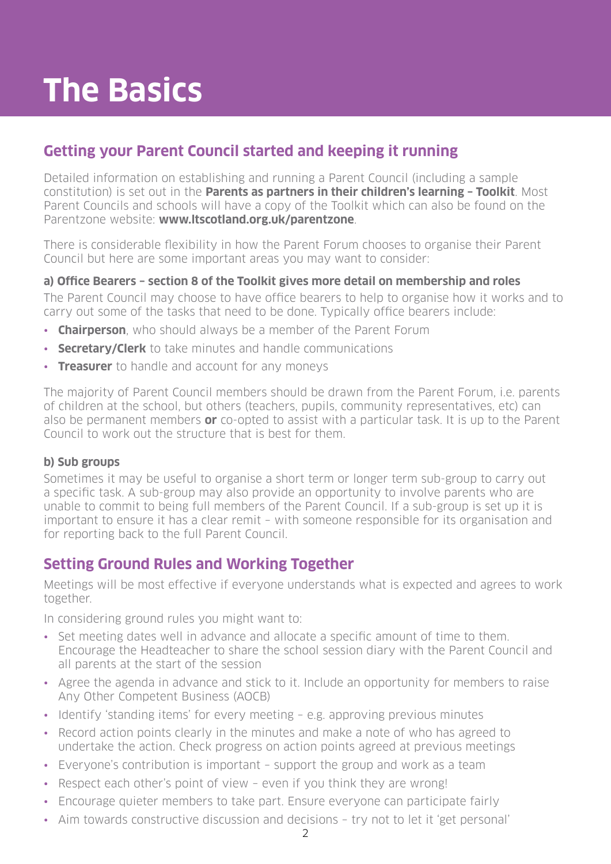# **The Basics**

# **Getting your Parent Council started and keeping it running**

Detailed information on establishing and running a Parent Council (including a sample constitution) is set out in the **Parents as partners in their children's learning – Toolkit**. Most Parent Councils and schools will have a copy of the Toolkit which can also be found on the Parentzone website: **www.ltscotland.org.uk/parentzone**.

There is considerable flexibility in how the Parent Forum chooses to organise their Parent Council but here are some important areas you may want to consider:

#### **a) Office Bearers – section 8 of the Toolkit gives more detail on membership and roles**

The Parent Council may choose to have office bearers to help to organise how it works and to carry out some of the tasks that need to be done. Typically office bearers include:

- **Chairperson**, who should always be a member of the Parent Forum
- **Secretary/Clerk** to take minutes and handle communications
- • **Treasurer** to handle and account for any moneys

The majority of Parent Council members should be drawn from the Parent Forum, i.e. parents of children at the school, but others (teachers, pupils, community representatives, etc) can also be permanent members **or** co-opted to assist with a particular task. It is up to the Parent Council to work out the structure that is best for them.

#### **b) Sub groups**

Sometimes it may be useful to organise a short term or longer term sub-group to carry out a specific task. A sub-group may also provide an opportunity to involve parents who are unable to commit to being full members of the Parent Council. If a sub-group is set up it is important to ensure it has a clear remit – with someone responsible for its organisation and for reporting back to the full Parent Council.

# **Setting Ground Rules and Working Together**

Meetings will be most effective if everyone understands what is expected and agrees to work together.

In considering ground rules you might want to:

- Set meeting dates well in advance and allocate a specific amount of time to them. Encourage the Headteacher to share the school session diary with the Parent Council and all parents at the start of the session
- Agree the agenda in advance and stick to it. Include an opportunity for members to raise Any Other Competent Business (AOCB)
- Identify 'standing items' for every meeting e.g. approving previous minutes
- Record action points clearly in the minutes and make a note of who has agreed to undertake the action. Check progress on action points agreed at previous meetings
- Everyone's contribution is important support the group and work as a team
- Respect each other's point of view even if you think they are wrong!
- Encourage quieter members to take part. Ensure everyone can participate fairly
- Aim towards constructive discussion and decisions try not to let it 'get personal'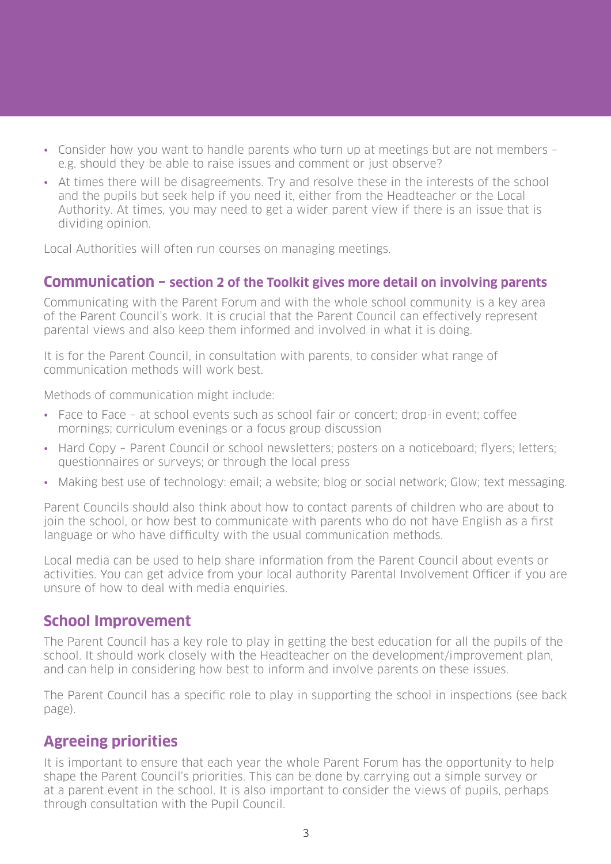- Consider how you want to handle parents who turn up at meetings but are not members e.g. should they be able to raise issues and comment or just observe?
- At times there will be disagreements. Try and resolve these in the interests of the school and the pupils but seek help if you need it, either from the Headteacher or the Local Authority. At times, you may need to get a wider parent view if there is an issue that is dividing opinion.

Local Authorities will often run courses on managing meetings.

#### **Communication – section 2 of the Toolkit gives more detail on involving parents**

Communicating with the Parent Forum and with the whole school community is a key area of the Parent Council's work. It is crucial that the Parent Council can effectively represent parental views and also keep them informed and involved in what it is doing.

It is for the Parent Council, in consultation with parents, to consider what range of communication methods will work best.

Methods of communication might include:

- Face to Face at school events such as school fair or concert; drop-in event; coffee mornings; curriculum evenings or a focus group discussion
- Hard Copy Parent Council or school newsletters; posters on a noticeboard; flyers; letters; questionnaires or surveys; or through the local press
- Making best use of technology: email; a website; blog or social network; Glow; text messaging.

Parent Councils should also think about how to contact parents of children who are about to join the school, or how best to communicate with parents who do not have English as a first language or who have difficulty with the usual communication methods.

Local media can be used to help share information from the Parent Council about events or activities. You can get advice from your local authority Parental Involvement Officer if you are unsure of how to deal with media enquiries.

#### **School Improvement**

The Parent Council has a key role to play in getting the best education for all the pupils of the school. It should work closely with the Headteacher on the development/improvement plan, and can help in considering how best to inform and involve parents on these issues.

The Parent Council has a specific role to play in supporting the school in inspections (see back page).

# **Agreeing priorities**

It is important to ensure that each year the whole Parent Forum has the opportunity to help shape the Parent Council's priorities. This can be done by carrying out a simple survey or at a parent event in the school. It is also important to consider the views of pupils, perhaps through consultation with the Pupil Council.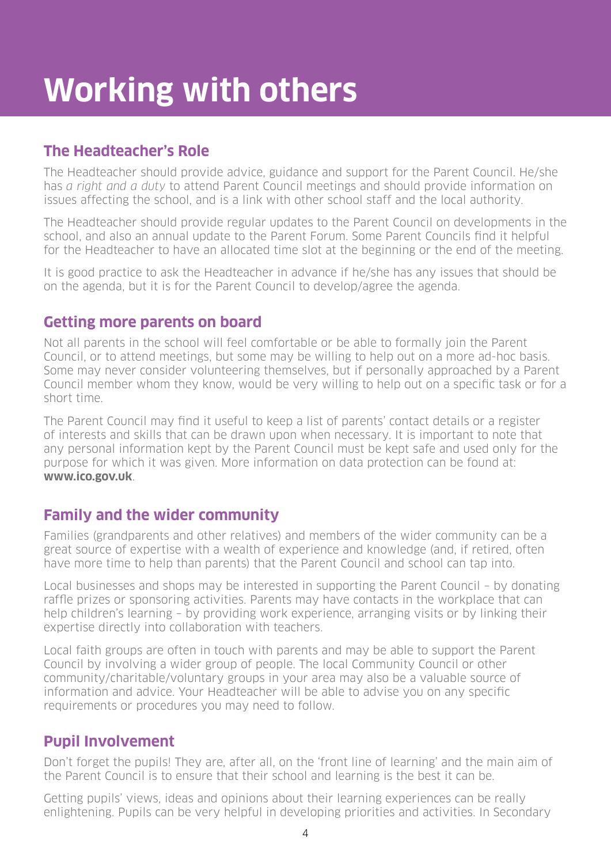# **The Headteacher's Role**

The Headteacher should provide advice, guidance and support for the Parent Council. He/she has a right and a duty to attend Parent Council meetings and should provide information on issues affecting the school, and is a link with other school staff and the local authority.

The Headteacher should provide regular updates to the Parent Council on developments in the school, and also an annual update to the Parent Forum. Some Parent Councils find it helpful for the Headteacher to have an allocated time slot at the beginning or the end of the meeting.

It is good practice to ask the Headteacher in advance if he/she has any issues that should be on the agenda, but it is for the Parent Council to develop/agree the agenda.

#### **Getting more parents on board**

Not all parents in the school will feel comfortable or be able to formally join the Parent Council, or to attend meetings, but some may be willing to help out on a more ad-hoc basis. Some may never consider volunteering themselves, but if personally approached by a Parent Council member whom they know, would be very willing to help out on a specific task or for a short time.

The Parent Council may find it useful to keep a list of parents' contact details or a register of interests and skills that can be drawn upon when necessary. It is important to note that any personal information kept by the Parent Council must be kept safe and used only for the purpose for which it was given. More information on data protection can be found at: **www.ico.gov.uk**.

# **Family and the wider community**

Families (grandparents and other relatives) and members of the wider community can be a great source of expertise with a wealth of experience and knowledge (and, if retired, often have more time to help than parents) that the Parent Council and school can tap into.

Local businesses and shops may be interested in supporting the Parent Council – by donating raffle prizes or sponsoring activities. Parents may have contacts in the workplace that can help children's learning – by providing work experience, arranging visits or by linking their expertise directly into collaboration with teachers.

Local faith groups are often in touch with parents and may be able to support the Parent Council by involving a wider group of people. The local Community Council or other community/charitable/voluntary groups in your area may also be a valuable source of information and advice. Your Headteacher will be able to advise you on any specific requirements or procedures you may need to follow.

# **Pupil Involvement**

Don't forget the pupils! They are, after all, on the 'front line of learning' and the main aim of the Parent Council is to ensure that their school and learning is the best it can be.

Getting pupils' views, ideas and opinions about their learning experiences can be really enlightening. Pupils can be very helpful in developing priorities and activities. In Secondary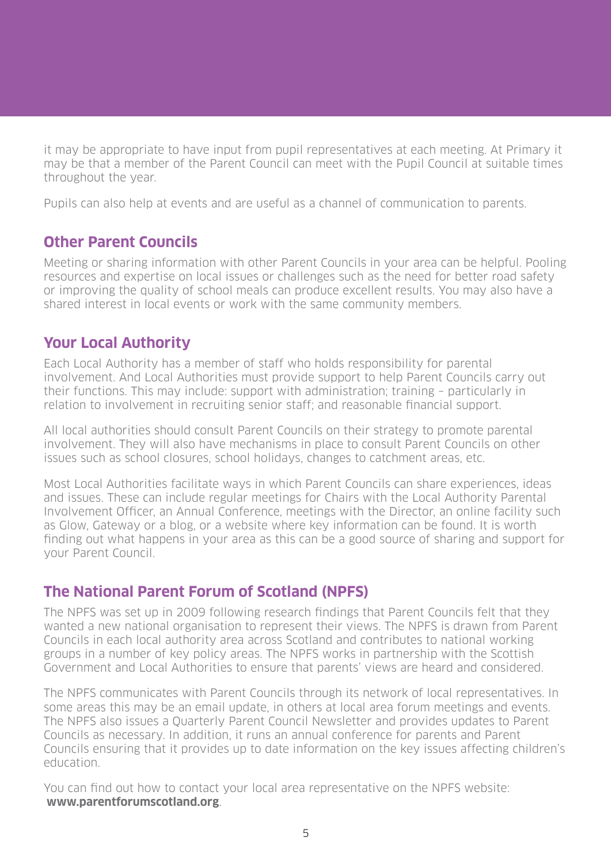it may be appropriate to have input from pupil representatives at each meeting. At Primary it may be that a member of the Parent Council can meet with the Pupil Council at suitable times throughout the year.

Pupils can also help at events and are useful as a channel of communication to parents.

#### **Other Parent Councils**

Meeting or sharing information with other Parent Councils in your area can be helpful. Pooling resources and expertise on local issues or challenges such as the need for better road safety or improving the quality of school meals can produce excellent results. You may also have a shared interest in local events or work with the same community members.

#### **Your Local Authority**

Each Local Authority has a member of staff who holds responsibility for parental involvement. And Local Authorities must provide support to help Parent Councils carry out their functions. This may include: support with administration; training – particularly in relation to involvement in recruiting senior staff; and reasonable financial support.

All local authorities should consult Parent Councils on their strategy to promote parental involvement. They will also have mechanisms in place to consult Parent Councils on other issues such as school closures, school holidays, changes to catchment areas, etc.

Most Local Authorities facilitate ways in which Parent Councils can share experiences, ideas and issues. These can include regular meetings for Chairs with the Local Authority Parental Involvement Officer, an Annual Conference, meetings with the Director, an online facility such as Glow, Gateway or a blog, or a website where key information can be found. It is worth finding out what happens in your area as this can be a good source of sharing and support for your Parent Council.

#### **The National Parent Forum of Scotland (NPFS)**

The NPFS was set up in 2009 following research findings that Parent Councils felt that they wanted a new national organisation to represent their views. The NPFS is drawn from Parent Councils in each local authority area across Scotland and contributes to national working groups in a number of key policy areas. The NPFS works in partnership with the Scottish Government and Local Authorities to ensure that parents' views are heard and considered.

The NPFS communicates with Parent Councils through its network of local representatives. In some areas this may be an email update, in others at local area forum meetings and events. The NPFS also issues a Quarterly Parent Council Newsletter and provides updates to Parent Councils as necessary. In addition, it runs an annual conference for parents and Parent Councils ensuring that it provides up to date information on the key issues affecting children's education.

You can find out how to contact your local area representative on the NPFS website:  **www.parentforumscotland.org**.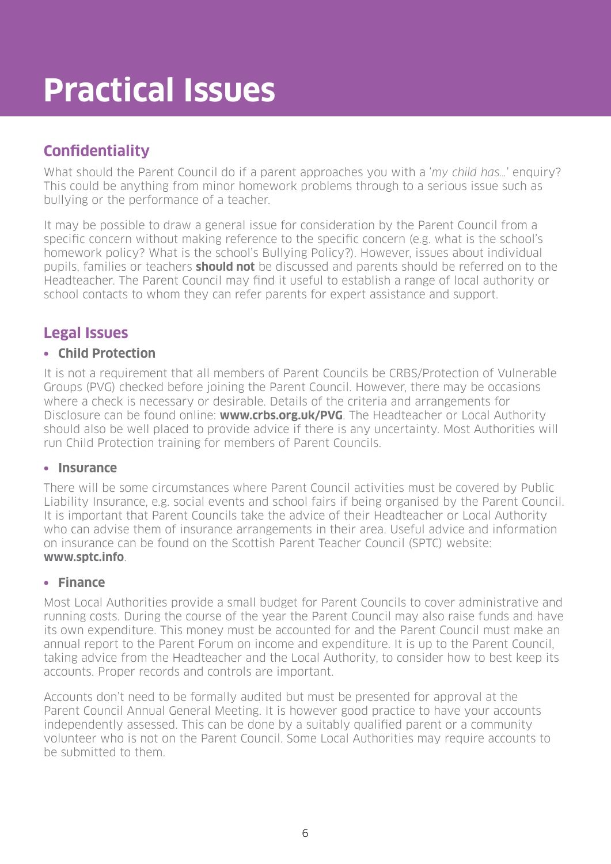# **Practical Issues**

# **Confidentiality**

What should the Parent Council do if a parent approaches you with a 'my child has...' enquiry? This could be anything from minor homework problems through to a serious issue such as bullying or the performance of a teacher.

It may be possible to draw a general issue for consideration by the Parent Council from a specific concern without making reference to the specific concern (e.g. what is the school's homework policy? What is the school's Bullying Policy?). However, issues about individual pupils, families or teachers **should not** be discussed and parents should be referred on to the Headteacher. The Parent Council may find it useful to establish a range of local authority or school contacts to whom they can refer parents for expert assistance and support.

# **Legal Issues**

#### **• Child Protection**

It is not a requirement that all members of Parent Councils be CRBS/Protection of Vulnerable Groups (PVG) checked before joining the Parent Council. However, there may be occasions where a check is necessary or desirable. Details of the criteria and arrangements for Disclosure can be found online: **www.crbs.org.uk/PVG**. The Headteacher or Local Authority should also be well placed to provide advice if there is any uncertainty. Most Authorities will run Child Protection training for members of Parent Councils.

#### **• Insurance**

There will be some circumstances where Parent Council activities must be covered by Public Liability Insurance, e.g. social events and school fairs if being organised by the Parent Council. It is important that Parent Councils take the advice of their Headteacher or Local Authority who can advise them of insurance arrangements in their area. Useful advice and information on insurance can be found on the Scottish Parent Teacher Council (SPTC) website: **www.sptc.info**.

#### **• Finance**

Most Local Authorities provide a small budget for Parent Councils to cover administrative and running costs. During the course of the year the Parent Council may also raise funds and have its own expenditure. This money must be accounted for and the Parent Council must make an annual report to the Parent Forum on income and expenditure. It is up to the Parent Council, taking advice from the Headteacher and the Local Authority, to consider how to best keep its accounts. Proper records and controls are important.

Accounts don't need to be formally audited but must be presented for approval at the Parent Council Annual General Meeting. It is however good practice to have your accounts independently assessed. This can be done by a suitably qualified parent or a community volunteer who is not on the Parent Council. Some Local Authorities may require accounts to be submitted to them.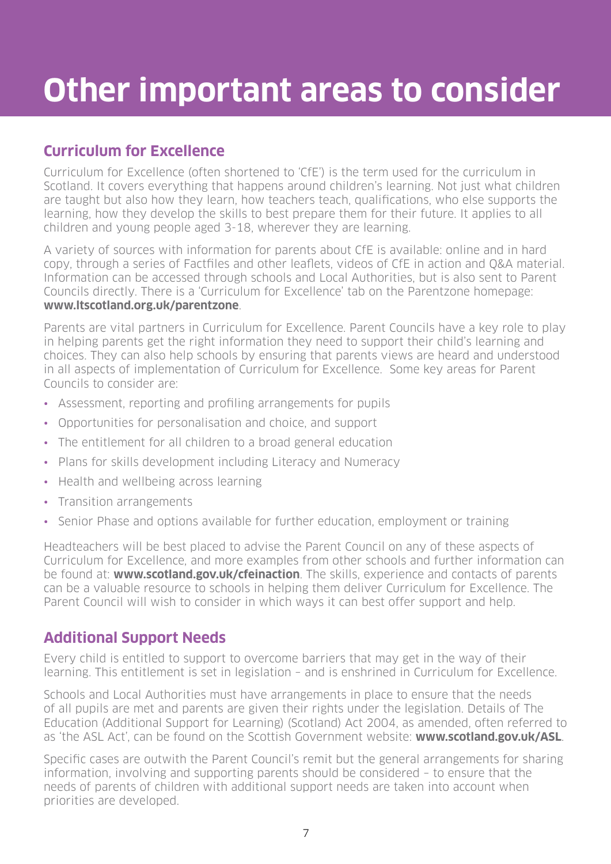# **Other important areas to consider**

# **Curriculum for Excellence**

Curriculum for Excellence (often shortened to 'CfE') is the term used for the curriculum in Scotland. It covers everything that happens around children's learning. Not just what children are taught but also how they learn, how teachers teach, qualifications, who else supports the learning, how they develop the skills to best prepare them for their future. It applies to all children and young people aged 3-18, wherever they are learning.

A variety of sources with information for parents about CfE is available: online and in hard copy, through a series of Factfiles and other leaflets, videos of CfE in action and Q&A material. Information can be accessed through schools and Local Authorities, but is also sent to Parent Councils directly. There is a 'Curriculum for Excellence' tab on the Parentzone homepage: **www.ltscotland.org.uk/parentzone**.

Parents are vital partners in Curriculum for Excellence. Parent Councils have a key role to play in helping parents get the right information they need to support their child's learning and choices. They can also help schools by ensuring that parents views are heard and understood in all aspects of implementation of Curriculum for Excellence. Some key areas for Parent Councils to consider are:

- Assessment, reporting and profiling arrangements for pupils
- Opportunities for personalisation and choice, and support
- The entitlement for all children to a broad general education
- Plans for skills development including Literacy and Numeracy
- Health and wellbeing across learning
- Transition arrangements
- Senior Phase and options available for further education, employment or training

Headteachers will be best placed to advise the Parent Council on any of these aspects of Curriculum for Excellence, and more examples from other schools and further information can be found at: **www.scotland.gov.uk/cfeinaction**. The skills, experience and contacts of parents can be a valuable resource to schools in helping them deliver Curriculum for Excellence. The Parent Council will wish to consider in which ways it can best offer support and help.

# **Additional Support Needs**

Every child is entitled to support to overcome barriers that may get in the way of their learning. This entitlement is set in legislation – and is enshrined in Curriculum for Excellence.

Schools and Local Authorities must have arrangements in place to ensure that the needs of all pupils are met and parents are given their rights under the legislation. Details of The Education (Additional Support for Learning) (Scotland) Act 2004, as amended, often referred to as 'the ASL Act', can be found on the Scottish Government website: **www.scotland.gov.uk/ASL**.

Specific cases are outwith the Parent Council's remit but the general arrangements for sharing information, involving and supporting parents should be considered – to ensure that the needs of parents of children with additional support needs are taken into account when priorities are developed.